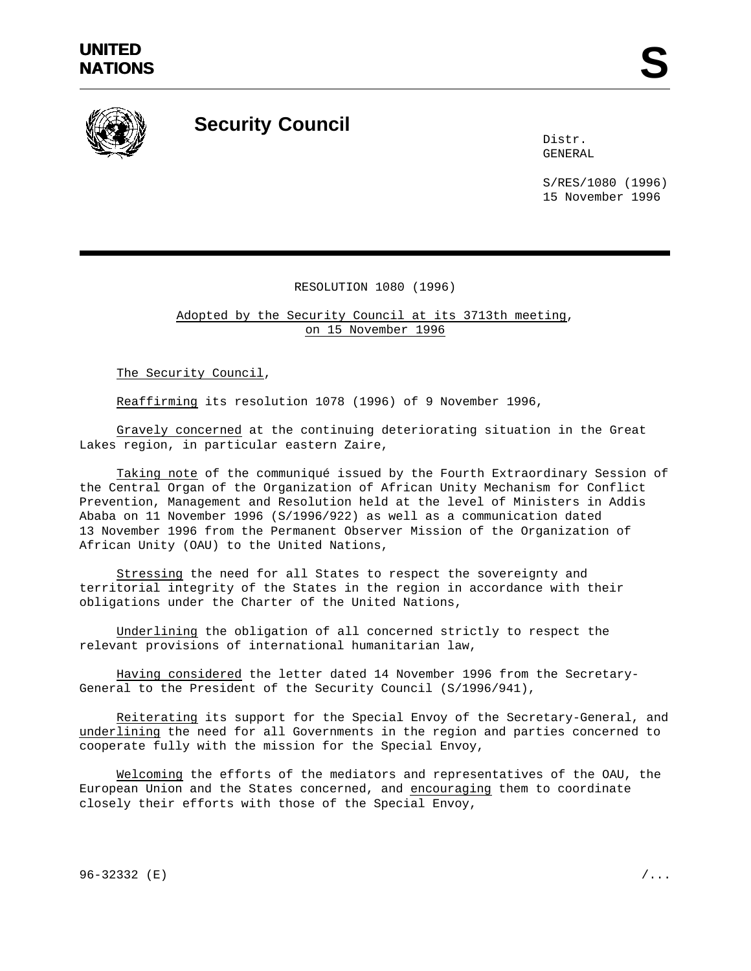

## **Security Council**

Distr. GENERAL

S/RES/1080 (1996) 15 November 1996

## RESOLUTION 1080 (1996)

Adopted by the Security Council at its 3713th meeting, on 15 November 1996

The Security Council,

Reaffirming its resolution 1078 (1996) of 9 November 1996,

Gravely concerned at the continuing deteriorating situation in the Great Lakes region, in particular eastern Zaire,

Taking note of the communiqué issued by the Fourth Extraordinary Session of the Central Organ of the Organization of African Unity Mechanism for Conflict Prevention, Management and Resolution held at the level of Ministers in Addis Ababa on 11 November 1996 (S/1996/922) as well as a communication dated 13 November 1996 from the Permanent Observer Mission of the Organization of African Unity (OAU) to the United Nations,

Stressing the need for all States to respect the sovereignty and territorial integrity of the States in the region in accordance with their obligations under the Charter of the United Nations,

Underlining the obligation of all concerned strictly to respect the relevant provisions of international humanitarian law,

Having considered the letter dated 14 November 1996 from the Secretary-General to the President of the Security Council (S/1996/941),

Reiterating its support for the Special Envoy of the Secretary-General, and underlining the need for all Governments in the region and parties concerned to cooperate fully with the mission for the Special Envoy,

Welcoming the efforts of the mediators and representatives of the OAU, the European Union and the States concerned, and encouraging them to coordinate closely their efforts with those of the Special Envoy,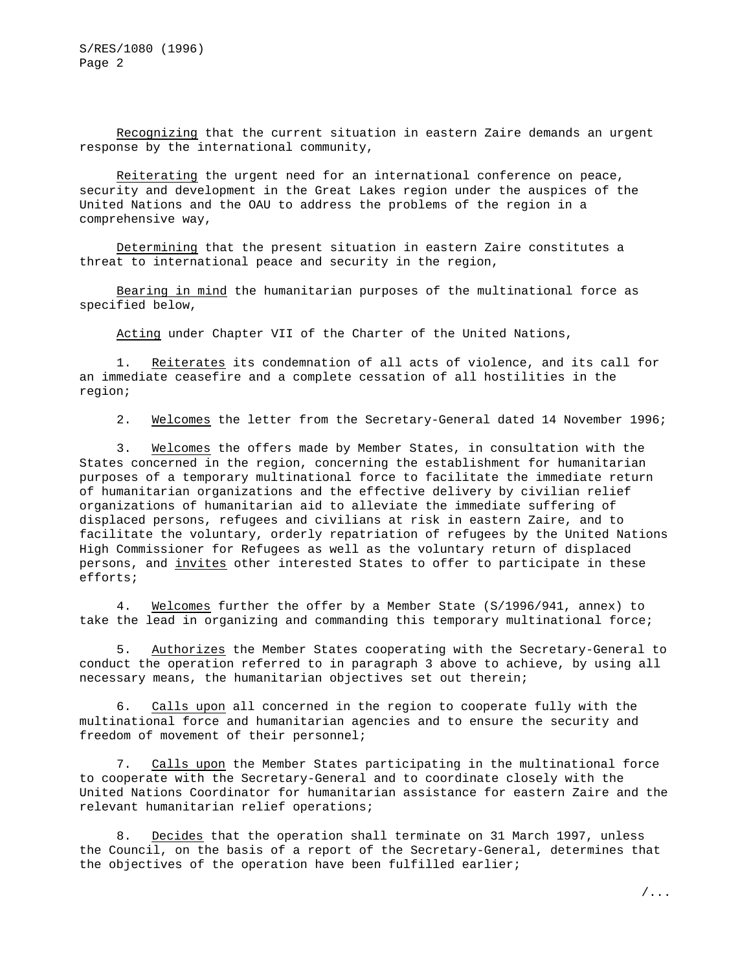Recognizing that the current situation in eastern Zaire demands an urgent response by the international community,

Reiterating the urgent need for an international conference on peace, security and development in the Great Lakes region under the auspices of the United Nations and the OAU to address the problems of the region in a comprehensive way,

Determining that the present situation in eastern Zaire constitutes a threat to international peace and security in the region,

Bearing in mind the humanitarian purposes of the multinational force as specified below,

Acting under Chapter VII of the Charter of the United Nations,

Reiterates its condemnation of all acts of violence, and its call for an immediate ceasefire and a complete cessation of all hostilities in the region;

2. Welcomes the letter from the Secretary-General dated 14 November 1996;

3. Welcomes the offers made by Member States, in consultation with the States concerned in the region, concerning the establishment for humanitarian purposes of a temporary multinational force to facilitate the immediate return of humanitarian organizations and the effective delivery by civilian relief organizations of humanitarian aid to alleviate the immediate suffering of displaced persons, refugees and civilians at risk in eastern Zaire, and to facilitate the voluntary, orderly repatriation of refugees by the United Nations High Commissioner for Refugees as well as the voluntary return of displaced persons, and invites other interested States to offer to participate in these efforts;

4. Welcomes further the offer by a Member State (S/1996/941, annex) to take the lead in organizing and commanding this temporary multinational force;

5. Authorizes the Member States cooperating with the Secretary-General to conduct the operation referred to in paragraph 3 above to achieve, by using all necessary means, the humanitarian objectives set out therein;

6. Calls upon all concerned in the region to cooperate fully with the multinational force and humanitarian agencies and to ensure the security and freedom of movement of their personnel;

7. Calls upon the Member States participating in the multinational force to cooperate with the Secretary-General and to coordinate closely with the United Nations Coordinator for humanitarian assistance for eastern Zaire and the relevant humanitarian relief operations;

8. Decides that the operation shall terminate on 31 March 1997, unless the Council, on the basis of a report of the Secretary-General, determines that the objectives of the operation have been fulfilled earlier;